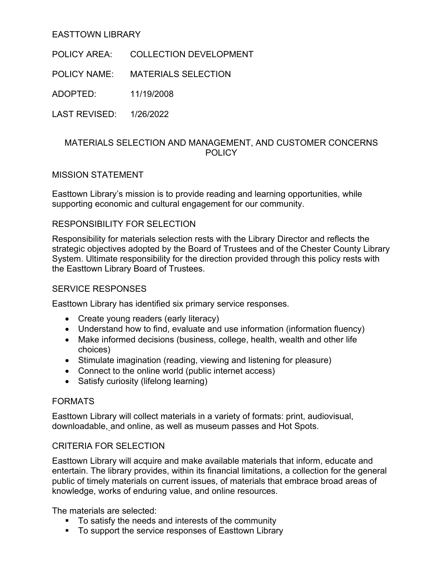## EASTTOWN LIBRARY

POLICY AREA: COLLECTION DEVELOPMENT

POLICY NAME: MATERIALS SELECTION

ADOPTED: 11/19/2008

LAST REVISED: 1/26/2022

## MATERIALS SELECTION AND MANAGEMENT, AND CUSTOMER CONCERNS POLICY

## MISSION STATEMENT

Easttown Library's mission is to provide reading and learning opportunities, while supporting economic and cultural engagement for our community.

## RESPONSIBILITY FOR SELECTION

Responsibility for materials selection rests with the Library Director and reflects the strategic objectives adopted by the Board of Trustees and of the Chester County Library System. Ultimate responsibility for the direction provided through this policy rests with the Easttown Library Board of Trustees.

## SERVICE RESPONSES

Easttown Library has identified six primary service responses.

- Create young readers (early literacy)
- Understand how to find, evaluate and use information (information fluency)
- Make informed decisions (business, college, health, wealth and other life choices)
- Stimulate imagination (reading, viewing and listening for pleasure)
- Connect to the online world (public internet access)
- Satisfy curiosity (lifelong learning)

## FORMATS

Easttown Library will collect materials in a variety of formats: print, audiovisual, downloadable, and online, as well as museum passes and Hot Spots.

# CRITERIA FOR SELECTION

Easttown Library will acquire and make available materials that inform, educate and entertain. The library provides, within its financial limitations, a collection for the general public of timely materials on current issues, of materials that embrace broad areas of knowledge, works of enduring value, and online resources.

The materials are selected:

- To satisfy the needs and interests of the community
- To support the service responses of Easttown Library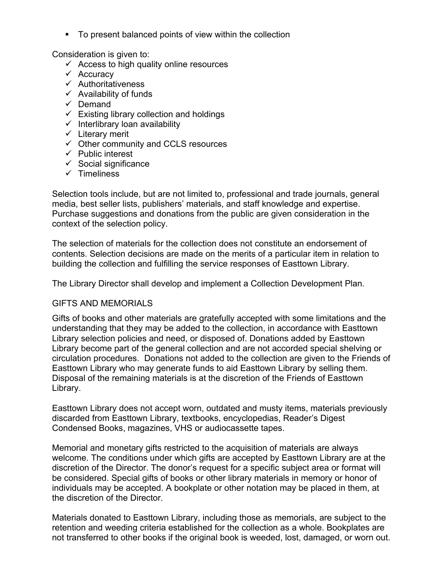To present balanced points of view within the collection

Consideration is given to:

- $\checkmark$  Access to high quality online resources
- $\checkmark$  Accuracy
- $\checkmark$  Authoritativeness
- $\checkmark$  Availability of funds
- $\checkmark$  Demand
- $\checkmark$  Existing library collection and holdings
- $\checkmark$  Interlibrary loan availability
- $\checkmark$  Literary merit
- $\checkmark$  Other community and CCLS resources
- $\checkmark$  Public interest
- $\checkmark$  Social significance
- $\checkmark$  Timeliness

Selection tools include, but are not limited to, professional and trade journals, general media, best seller lists, publishers' materials, and staff knowledge and expertise. Purchase suggestions and donations from the public are given consideration in the context of the selection policy.

The selection of materials for the collection does not constitute an endorsement of contents. Selection decisions are made on the merits of a particular item in relation to building the collection and fulfilling the service responses of Easttown Library.

The Library Director shall develop and implement a Collection Development Plan.

# GIFTS AND MEMORIALS

Gifts of books and other materials are gratefully accepted with some limitations and the understanding that they may be added to the collection, in accordance with Easttown Library selection policies and need, or disposed of. Donations added by Easttown Library become part of the general collection and are not accorded special shelving or circulation procedures. Donations not added to the collection are given to the Friends of Easttown Library who may generate funds to aid Easttown Library by selling them. Disposal of the remaining materials is at the discretion of the Friends of Easttown Library.

Easttown Library does not accept worn, outdated and musty items, materials previously discarded from Easttown Library, textbooks, encyclopedias, Reader's Digest Condensed Books, magazines, VHS or audiocassette tapes.

Memorial and monetary gifts restricted to the acquisition of materials are always welcome. The conditions under which gifts are accepted by Easttown Library are at the discretion of the Director. The donor's request for a specific subject area or format will be considered. Special gifts of books or other library materials in memory or honor of individuals may be accepted. A bookplate or other notation may be placed in them, at the discretion of the Director.

Materials donated to Easttown Library, including those as memorials, are subject to the retention and weeding criteria established for the collection as a whole. Bookplates are not transferred to other books if the original book is weeded, lost, damaged, or worn out.